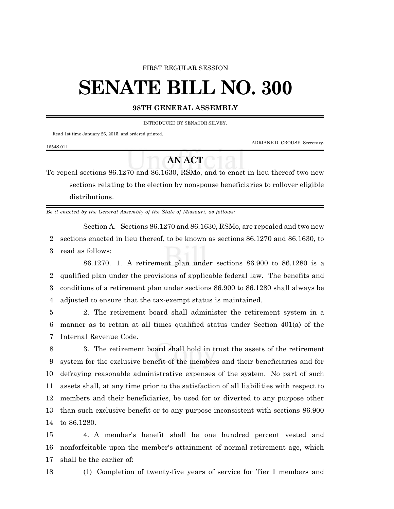### FIRST REGULAR SESSION

# **SENATE BILL NO. 300**

# **98TH GENERAL ASSEMBLY**

INTRODUCED BY SENATOR SILVEY.

Read 1st time January 26, 2015, and ordered printed.

ADRIANE D. CROUSE, Secretary.

#### 1654S.01I

# **AN ACT**

To repeal sections 86.1270 and 86.1630, RSMo, and to enact in lieu thereof two new sections relating to the election by nonspouse beneficiaries to rollover eligible distributions.

*Be it enacted by the General Assembly of the State of Missouri, as follows:*

Section A. Sections 86.1270 and 86.1630, RSMo, are repealed and two new 2 sections enacted in lieu thereof, to be known as sections 86.1270 and 86.1630, to

3 read as follows:

86.1270. 1. A retirement plan under sections 86.900 to 86.1280 is a qualified plan under the provisions of applicable federal law. The benefits and conditions of a retirement plan under sections 86.900 to 86.1280 shall always be adjusted to ensure that the tax-exempt status is maintained.

5 2. The retirement board shall administer the retirement system in a 6 manner as to retain at all times qualified status under Section 401(a) of the 7 Internal Revenue Code.

 3. The retirement board shall hold in trust the assets of the retirement system for the exclusive benefit of the members and their beneficiaries and for defraying reasonable administrative expenses of the system. No part of such assets shall, at any time prior to the satisfaction of all liabilities with respect to members and their beneficiaries, be used for or diverted to any purpose other than such exclusive benefit or to any purpose inconsistent with sections 86.900 to 86.1280.

15 4. A member's benefit shall be one hundred percent vested and 16 nonforfeitable upon the member's attainment of normal retirement age, which 17 shall be the earlier of:

18 (1) Completion of twenty-five years of service for Tier I members and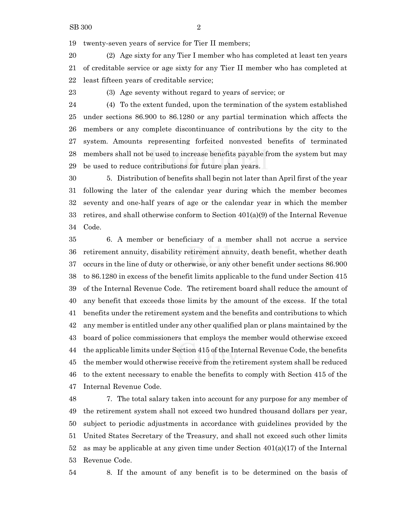twenty-seven years of service for Tier II members;

 (2) Age sixty for any Tier I member who has completed at least ten years of creditable service or age sixty for any Tier II member who has completed at least fifteen years of creditable service;

(3) Age seventy without regard to years of service; or

 (4) To the extent funded, upon the termination of the system established under sections 86.900 to 86.1280 or any partial termination which affects the members or any complete discontinuance of contributions by the city to the system. Amounts representing forfeited nonvested benefits of terminated members shall not be used to increase benefits payable from the system but may be used to reduce contributions for future plan years.

 5. Distribution of benefits shall begin not later than April first of the year following the later of the calendar year during which the member becomes seventy and one-half years of age or the calendar year in which the member retires, and shall otherwise conform to Section 401(a)(9) of the Internal Revenue Code.

 6. A member or beneficiary of a member shall not accrue a service retirement annuity, disability retirement annuity, death benefit, whether death occurs in the line of duty or otherwise, or any other benefit under sections 86.900 to 86.1280 in excess of the benefit limits applicable to the fund under Section 415 of the Internal Revenue Code. The retirement board shall reduce the amount of any benefit that exceeds those limits by the amount of the excess. If the total benefits under the retirement system and the benefits and contributions to which any member is entitled under any other qualified plan or plans maintained by the board of police commissioners that employs the member would otherwise exceed the applicable limits under Section 415 of the Internal Revenue Code, the benefits the member would otherwise receive from the retirement system shall be reduced to the extent necessary to enable the benefits to comply with Section 415 of the Internal Revenue Code.

 7. The total salary taken into account for any purpose for any member of the retirement system shall not exceed two hundred thousand dollars per year, subject to periodic adjustments in accordance with guidelines provided by the United States Secretary of the Treasury, and shall not exceed such other limits 52 as may be applicable at any given time under Section  $401(a)(17)$  of the Internal Revenue Code.

8. If the amount of any benefit is to be determined on the basis of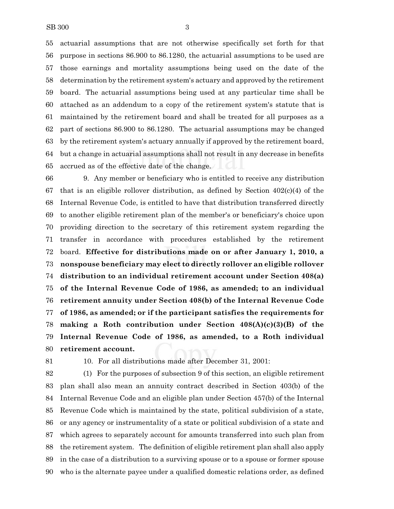actuarial assumptions that are not otherwise specifically set forth for that purpose in sections 86.900 to 86.1280, the actuarial assumptions to be used are those earnings and mortality assumptions being used on the date of the determination by the retirement system's actuary and approved by the retirement board. The actuarial assumptions being used at any particular time shall be attached as an addendum to a copy of the retirement system's statute that is maintained by the retirement board and shall be treated for all purposes as a part of sections 86.900 to 86.1280. The actuarial assumptions may be changed by the retirement system's actuary annually if approved by the retirement board, but a change in actuarial assumptions shall not result in any decrease in benefits accrued as of the effective date of the change.

 9. Any member or beneficiary who is entitled to receive any distribution that is an eligible rollover distribution, as defined by Section 402(c)(4) of the Internal Revenue Code, is entitled to have that distribution transferred directly to another eligible retirement plan of the member's or beneficiary's choice upon providing direction to the secretary of this retirement system regarding the transfer in accordance with procedures established by the retirement board. **Effective for distributions made on or after January 1, 2010, a nonspouse beneficiary may elect to directly rollover an eligible rollover distribution to an individual retirement account under Section 408(a) of the Internal Revenue Code of 1986, as amended; to an individual retirement annuity under Section 408(b) of the Internal Revenue Code of 1986, as amended; or if the participant satisfies the requirements for making a Roth contribution under Section 408(A)(c)(3)(B) of the Internal Revenue Code of 1986, as amended, to a Roth individual retirement account.**

10. For all distributions made after December 31, 2001:

 (1) For the purposes of subsection 9 of this section, an eligible retirement plan shall also mean an annuity contract described in Section 403(b) of the Internal Revenue Code and an eligible plan under Section 457(b) of the Internal Revenue Code which is maintained by the state, political subdivision of a state, or any agency or instrumentality of a state or political subdivision of a state and which agrees to separately account for amounts transferred into such plan from the retirement system. The definition of eligible retirement plan shall also apply in the case of a distribution to a surviving spouse or to a spouse or former spouse who is the alternate payee under a qualified domestic relations order, as defined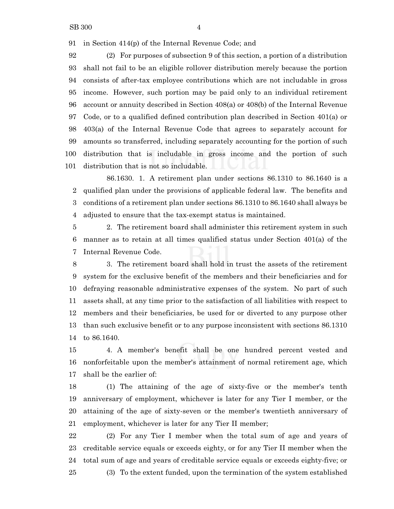in Section 414(p) of the Internal Revenue Code; and

 (2) For purposes of subsection 9 of this section, a portion of a distribution shall not fail to be an eligible rollover distribution merely because the portion consists of after-tax employee contributions which are not includable in gross income. However, such portion may be paid only to an individual retirement account or annuity described in Section 408(a) or 408(b) of the Internal Revenue Code, or to a qualified defined contribution plan described in Section 401(a) or 403(a) of the Internal Revenue Code that agrees to separately account for amounts so transferred, including separately accounting for the portion of such distribution that is includable in gross income and the portion of such distribution that is not so includable.

86.1630. 1. A retirement plan under sections 86.1310 to 86.1640 is a qualified plan under the provisions of applicable federal law. The benefits and conditions of a retirement plan under sections 86.1310 to 86.1640 shall always be adjusted to ensure that the tax-exempt status is maintained.

 2. The retirement board shall administer this retirement system in such manner as to retain at all times qualified status under Section 401(a) of the Internal Revenue Code.

 3. The retirement board shall hold in trust the assets of the retirement system for the exclusive benefit of the members and their beneficiaries and for defraying reasonable administrative expenses of the system. No part of such assets shall, at any time prior to the satisfaction of all liabilities with respect to members and their beneficiaries, be used for or diverted to any purpose other than such exclusive benefit or to any purpose inconsistent with sections 86.1310 to 86.1640.

 4. A member's benefit shall be one hundred percent vested and nonforfeitable upon the member's attainment of normal retirement age, which shall be the earlier of:

 (1) The attaining of the age of sixty-five or the member's tenth anniversary of employment, whichever is later for any Tier I member, or the attaining of the age of sixty-seven or the member's twentieth anniversary of employment, whichever is later for any Tier II member;

 (2) For any Tier I member when the total sum of age and years of creditable service equals or exceeds eighty, or for any Tier II member when the total sum of age and years of creditable service equals or exceeds eighty-five; or (3) To the extent funded, upon the termination of the system established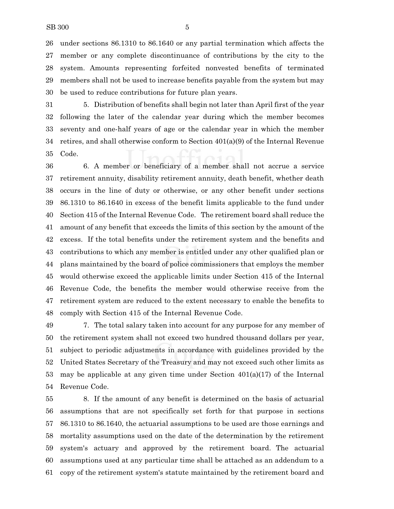under sections 86.1310 to 86.1640 or any partial termination which affects the member or any complete discontinuance of contributions by the city to the system. Amounts representing forfeited nonvested benefits of terminated members shall not be used to increase benefits payable from the system but may be used to reduce contributions for future plan years.

 5. Distribution of benefits shall begin not later than April first of the year following the later of the calendar year during which the member becomes seventy and one-half years of age or the calendar year in which the member 34 retires, and shall otherwise conform to Section  $401(a)(9)$  of the Internal Revenue Code.

 6. A member or beneficiary of a member shall not accrue a service retirement annuity, disability retirement annuity, death benefit, whether death occurs in the line of duty or otherwise, or any other benefit under sections 86.1310 to 86.1640 in excess of the benefit limits applicable to the fund under Section 415 of the Internal Revenue Code. The retirement board shall reduce the amount of any benefit that exceeds the limits of this section by the amount of the excess. If the total benefits under the retirement system and the benefits and contributions to which any member is entitled under any other qualified plan or plans maintained by the board of police commissioners that employs the member would otherwise exceed the applicable limits under Section 415 of the Internal Revenue Code, the benefits the member would otherwise receive from the retirement system are reduced to the extent necessary to enable the benefits to comply with Section 415 of the Internal Revenue Code.

 7. The total salary taken into account for any purpose for any member of the retirement system shall not exceed two hundred thousand dollars per year, subject to periodic adjustments in accordance with guidelines provided by the United States Secretary of the Treasury and may not exceed such other limits as 53 may be applicable at any given time under Section  $401(a)(17)$  of the Internal Revenue Code.

 8. If the amount of any benefit is determined on the basis of actuarial assumptions that are not specifically set forth for that purpose in sections 86.1310 to 86.1640, the actuarial assumptions to be used are those earnings and mortality assumptions used on the date of the determination by the retirement system's actuary and approved by the retirement board. The actuarial assumptions used at any particular time shall be attached as an addendum to a copy of the retirement system's statute maintained by the retirement board and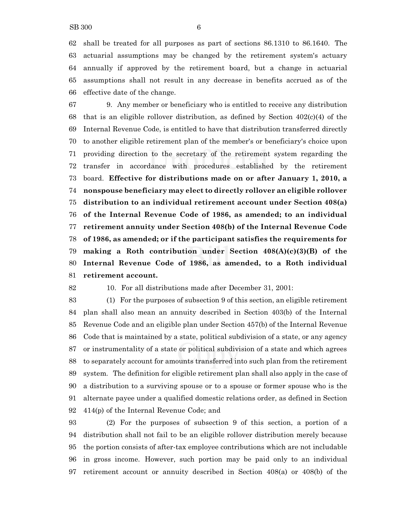shall be treated for all purposes as part of sections 86.1310 to 86.1640. The actuarial assumptions may be changed by the retirement system's actuary annually if approved by the retirement board, but a change in actuarial assumptions shall not result in any decrease in benefits accrued as of the effective date of the change.

 9. Any member or beneficiary who is entitled to receive any distribution 68 that is an eligible rollover distribution, as defined by Section  $402(c)(4)$  of the Internal Revenue Code, is entitled to have that distribution transferred directly to another eligible retirement plan of the member's or beneficiary's choice upon providing direction to the secretary of the retirement system regarding the transfer in accordance with procedures established by the retirement board. **Effective for distributions made on or after January 1, 2010, a nonspouse beneficiary may elect to directly rollover an eligible rollover distribution to an individual retirement account under Section 408(a) of the Internal Revenue Code of 1986, as amended; to an individual retirement annuity under Section 408(b) of the Internal Revenue Code of 1986, as amended; or if the participant satisfies the requirements for making a Roth contribution under Section 408(A)(c)(3)(B) of the Internal Revenue Code of 1986, as amended, to a Roth individual retirement account.**

## 10. For all distributions made after December 31, 2001:

 (1) For the purposes of subsection 9 of this section, an eligible retirement plan shall also mean an annuity described in Section 403(b) of the Internal Revenue Code and an eligible plan under Section 457(b) of the Internal Revenue Code that is maintained by a state, political subdivision of a state, or any agency or instrumentality of a state or political subdivision of a state and which agrees to separately account for amounts transferred into such plan from the retirement system. The definition for eligible retirement plan shall also apply in the case of a distribution to a surviving spouse or to a spouse or former spouse who is the alternate payee under a qualified domestic relations order, as defined in Section 414(p) of the Internal Revenue Code; and

 (2) For the purposes of subsection 9 of this section, a portion of a distribution shall not fail to be an eligible rollover distribution merely because the portion consists of after-tax employee contributions which are not includable in gross income. However, such portion may be paid only to an individual retirement account or annuity described in Section 408(a) or 408(b) of the